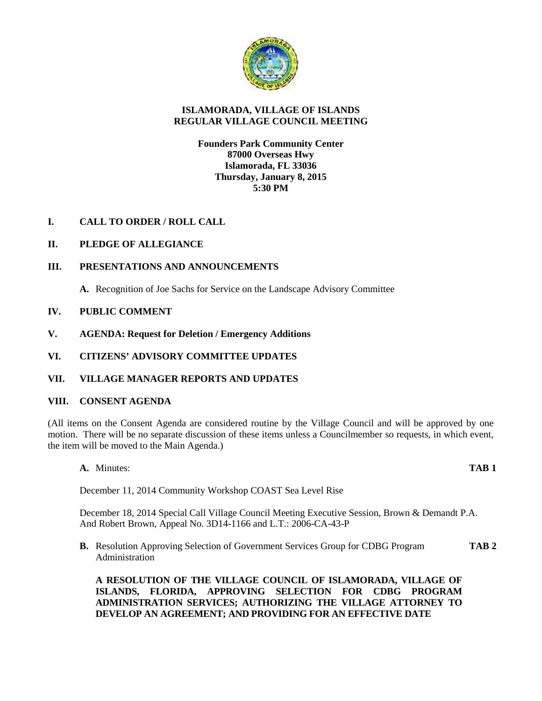

# **ISLAMORADA, VILLAGE OF ISLANDS REGULAR VILLAGE COUNCIL MEETING**

# **Founders Park Community Center 87000 Overseas Hwy Islamorada, FL 33036 Thursday, January 8, 2015 5:30 PM**

**I. CALL TO ORDER / ROLL CALL**

# **II. PLEDGE OF ALLEGIANCE**

# **III. PRESENTATIONS AND ANNOUNCEMENTS**

**A.** Recognition of Joe Sachs for Service on the Landscape Advisory Committee

# **IV. PUBLIC COMMENT**

**V. AGENDA: Request for Deletion / Emergency Additions**

# **VI. CITIZENS' ADVISORY COMMITTEE UPDATES**

## **VII. VILLAGE MANAGER REPORTS AND UPDATES**

## **VIII. CONSENT AGENDA**

(All items on the Consent Agenda are considered routine by the Village Council and will be approved by one motion. There will be no separate discussion of these items unless a Councilmember so requests, in which event, the item will be moved to the Main Agenda.)

**A.** Minutes: **TAB 1**

December 11, 2014 Community Workshop COAST Sea Level Rise

December 18, 2014 Special Call Village Council Meeting Executive Session, Brown & Demandt P.A. And Robert Brown, Appeal No. 3D14-1166 and L.T.: 2006-CA-43-P

**B.** Resolution Approving Selection of Government Services Group for CDBG Program **TAB 2** Administration

**A RESOLUTION OF THE VILLAGE COUNCIL OF ISLAMORADA, VILLAGE OF ISLANDS, FLORIDA, APPROVING SELECTION FOR CDBG PROGRAM ADMINISTRATION SERVICES; AUTHORIZING THE VILLAGE ATTORNEY TO DEVELOP AN AGREEMENT; AND PROVIDING FOR AN EFFECTIVE DATE**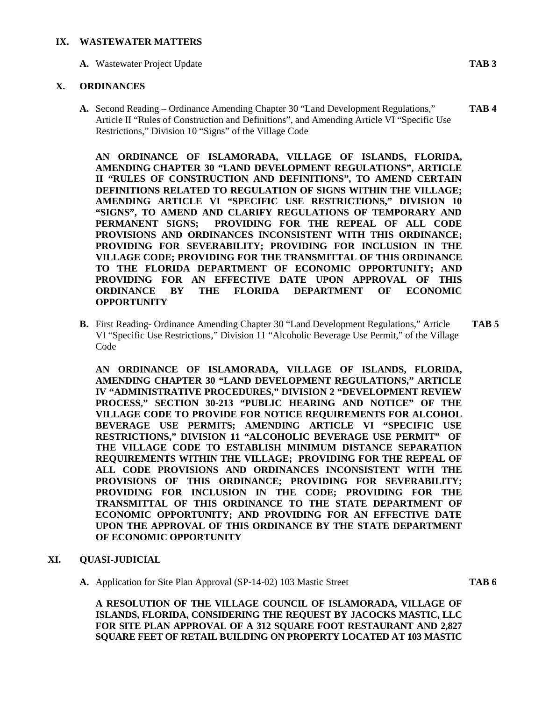#### **IX. WASTEWATER MATTERS**

**A.** Wastewater Project Update **TAB 3**

## **X. ORDINANCES**

**A.** Second Reading – Ordinance Amending Chapter 30 "Land Development Regulations," **TAB 4** Article II "Rules of Construction and Definitions", and Amending Article VI "Specific Use Restrictions," Division 10 "Signs" of the Village Code

**AN ORDINANCE OF ISLAMORADA, VILLAGE OF ISLANDS, FLORIDA, AMENDING CHAPTER 30 "LAND DEVELOPMENT REGULATIONS", ARTICLE II "RULES OF CONSTRUCTION AND DEFINITIONS", TO AMEND CERTAIN DEFINITIONS RELATED TO REGULATION OF SIGNS WITHIN THE VILLAGE; AMENDING ARTICLE VI "SPECIFIC USE RESTRICTIONS," DIVISION 10 "SIGNS", TO AMEND AND CLARIFY REGULATIONS OF TEMPORARY AND PERMANENT SIGNS; PROVIDING FOR THE REPEAL OF ALL CODE PROVISIONS AND ORDINANCES INCONSISTENT WITH THIS ORDINANCE; PROVIDING FOR SEVERABILITY; PROVIDING FOR INCLUSION IN THE VILLAGE CODE; PROVIDING FOR THE TRANSMITTAL OF THIS ORDINANCE TO THE FLORIDA DEPARTMENT OF ECONOMIC OPPORTUNITY; AND PROVIDING FOR AN EFFECTIVE DATE UPON APPROVAL OF THIS ORDINANCE BY THE FLORIDA DEPARTMENT OF ECONOMIC OPPORTUNITY**

**B.** First Reading- Ordinance Amending Chapter 30 "Land Development Regulations," Article **TAB 5** VI "Specific Use Restrictions," Division 11 "Alcoholic Beverage Use Permit," of the Village Code

**AN ORDINANCE OF ISLAMORADA, VILLAGE OF ISLANDS, FLORIDA, AMENDING CHAPTER 30 "LAND DEVELOPMENT REGULATIONS," ARTICLE IV "ADMINISTRATIVE PROCEDURES," DIVISION 2 "DEVELOPMENT REVIEW PROCESS," SECTION 30-213 "PUBLIC HEARING AND NOTICE" OF THE VILLAGE CODE TO PROVIDE FOR NOTICE REQUIREMENTS FOR ALCOHOL BEVERAGE USE PERMITS; AMENDING ARTICLE VI "SPECIFIC USE RESTRICTIONS," DIVISION 11 "ALCOHOLIC BEVERAGE USE PERMIT" OF THE VILLAGE CODE TO ESTABLISH MINIMUM DISTANCE SEPARATION REQUIREMENTS WITHIN THE VILLAGE; PROVIDING FOR THE REPEAL OF ALL CODE PROVISIONS AND ORDINANCES INCONSISTENT WITH THE PROVISIONS OF THIS ORDINANCE; PROVIDING FOR SEVERABILITY; PROVIDING FOR INCLUSION IN THE CODE; PROVIDING FOR THE TRANSMITTAL OF THIS ORDINANCE TO THE STATE DEPARTMENT OF ECONOMIC OPPORTUNITY; AND PROVIDING FOR AN EFFECTIVE DATE UPON THE APPROVAL OF THIS ORDINANCE BY THE STATE DEPARTMENT OF ECONOMIC OPPORTUNITY**

## **XI. QUASI-JUDICIAL**

**A.** Application for Site Plan Approval (SP-14-02) 103 Mastic Street **TAB 6**

**A RESOLUTION OF THE VILLAGE COUNCIL OF ISLAMORADA, VILLAGE OF ISLANDS, FLORIDA, CONSIDERING THE REQUEST BY JACOCKS MASTIC, LLC FOR SITE PLAN APPROVAL OF A 312 SQUARE FOOT RESTAURANT AND 2,827 SQUARE FEET OF RETAIL BUILDING ON PROPERTY LOCATED AT 103 MASTIC**